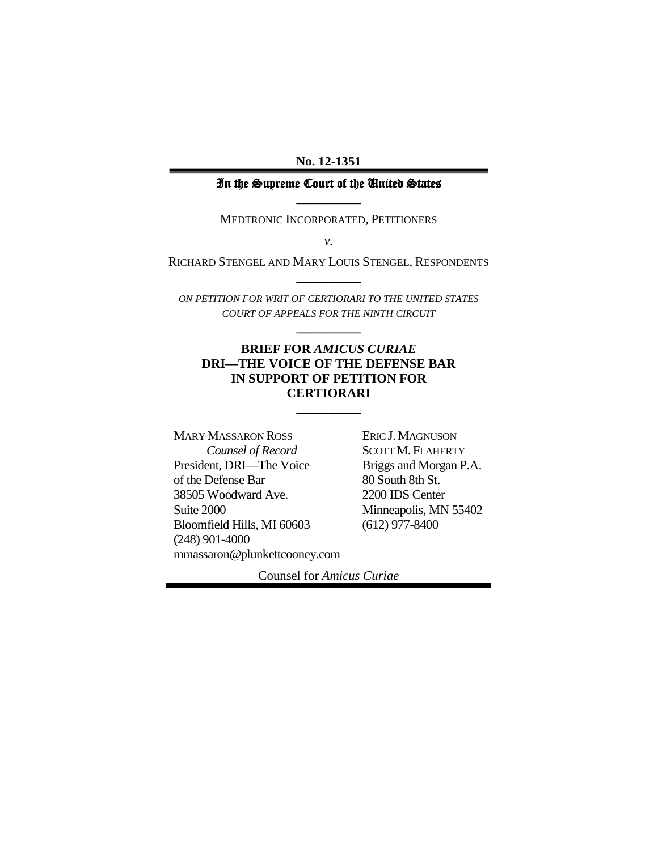**No. 12-1351**

#### In the Supreme Court of the United States **\_\_\_\_\_\_\_\_\_\_**

MEDTRONIC INCORPORATED, PETITIONERS

*v.*

RICHARD STENGEL AND MARY LOUIS STENGEL, RESPONDENTS **\_\_\_\_\_\_\_\_\_\_**

*ON PETITION FOR WRIT OF CERTIORARI TO THE UNITED STATES COURT OF APPEALS FOR THE NINTH CIRCUIT*

**\_\_\_\_\_\_\_\_\_\_**

#### **BRIEF FOR** *AMICUS CURIAE*  **DRI—THE VOICE OF THE DEFENSE BAR IN SUPPORT OF PETITION FOR CERTIORARI**

**\_\_\_\_\_\_\_\_\_\_**

MARY MASSARON ROSS *Counsel of Record* President, DRI—The Voice of the Defense Bar 38505 Woodward Ave. Suite 2000 Bloomfield Hills, MI 60603 (248) 901-4000 mmassaron@plunkettcooney.com ERIC J. MAGNUSON SCOTT M. FLAHERTY Briggs and Morgan P.A. 80 South 8th St. 2200 IDS Center Minneapolis, MN 55402 (612) 977-8400

Counsel for *Amicus Curiae*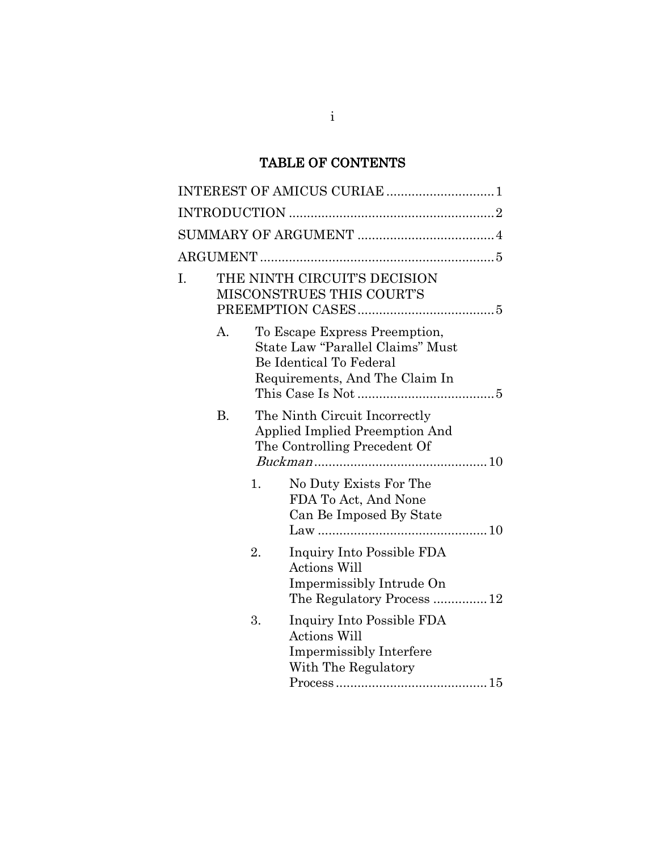# TABLE OF CONTENTS

| I. |           | THE NINTH CIRCUIT'S DECISION<br>MISCONSTRUES THIS COURT'S |                                                                                                                                |  |
|----|-----------|-----------------------------------------------------------|--------------------------------------------------------------------------------------------------------------------------------|--|
|    | А.        |                                                           | To Escape Express Preemption,<br>State Law "Parallel Claims" Must<br>Be Identical To Federal<br>Requirements, And The Claim In |  |
|    | <b>B.</b> |                                                           | The Ninth Circuit Incorrectly<br>Applied Implied Preemption And<br>The Controlling Precedent Of                                |  |
|    |           | 1.                                                        | No Duty Exists For The<br>FDA To Act, And None<br>Can Be Imposed By State                                                      |  |
|    |           | 2.                                                        | Inquiry Into Possible FDA<br><b>Actions Will</b><br>Impermissibly Intrude On<br>The Regulatory Process  12                     |  |
|    |           | 3.                                                        | Inquiry Into Possible FDA<br><b>Actions Will</b><br><b>Impermissibly Interfere</b><br>With The Regulatory                      |  |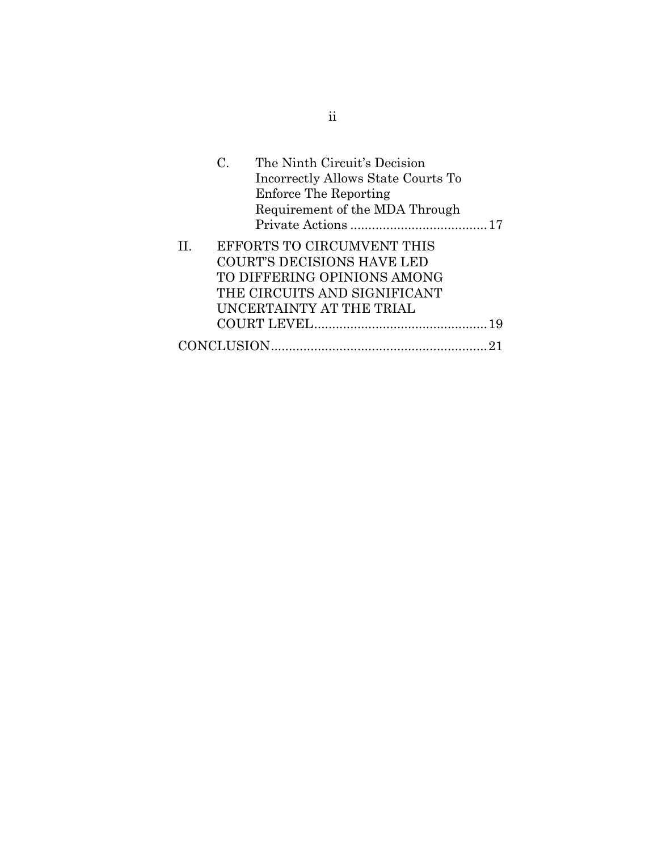|   | $\rm C$    | The Ninth Circuit's Decision<br>Incorrectly Allows State Courts To<br><b>Enforce The Reporting</b><br>Requirement of the MDA Through |  |
|---|------------|--------------------------------------------------------------------------------------------------------------------------------------|--|
| П |            | EFFORTS TO CIRCUMVENT THIS                                                                                                           |  |
|   |            | <b>COURT'S DECISIONS HAVE LED</b>                                                                                                    |  |
|   |            | TO DIFFERING OPINIONS AMONG                                                                                                          |  |
|   |            | THE CIRCUITS AND SIGNIFICANT                                                                                                         |  |
|   |            | UNCERTAINTY AT THE TRIAL                                                                                                             |  |
|   |            |                                                                                                                                      |  |
|   | CONCLUSION |                                                                                                                                      |  |

ii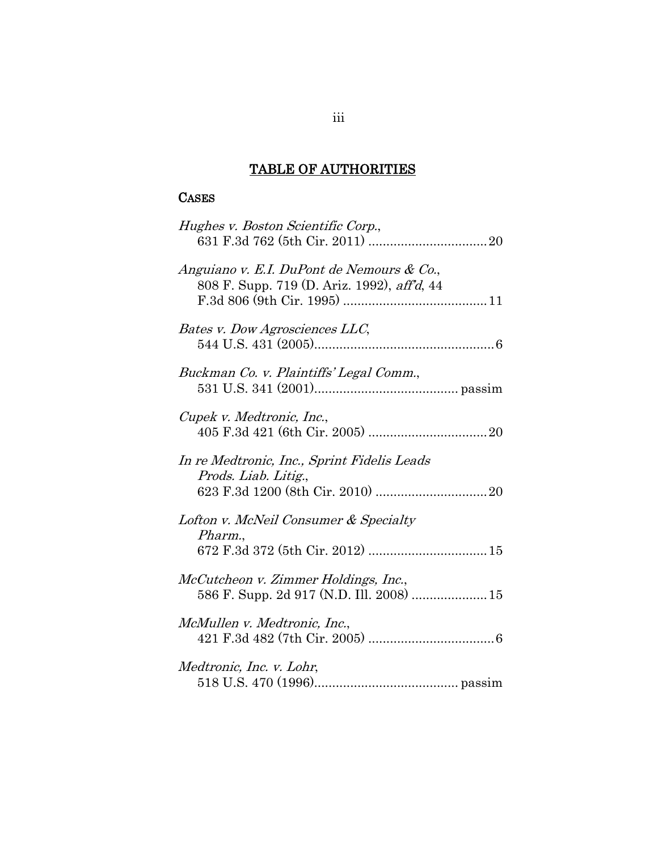# TABLE OF AUTHORITIES

# CASES

| Hughes v. Boston Scientific Corp.,                                                       |  |
|------------------------------------------------------------------------------------------|--|
| Anguiano v. E.I. DuPont de Nemours & Co.,<br>808 F. Supp. 719 (D. Ariz. 1992), aff'd, 44 |  |
| Bates v. Dow Agrosciences LLC,                                                           |  |
| Buckman Co. v. Plaintiffs' Legal Comm.,                                                  |  |
| Cupek v. Medtronic, Inc.,                                                                |  |
| In re Medtronic, Inc., Sprint Fidelis Leads<br>Prods. Liab. Litig.,                      |  |
| Lofton v. McNeil Consumer & Specialty                                                    |  |
| Pharm.,<br>672 F.3d 372 (5th Cir. 2012)  15                                              |  |
| McCutcheon v. Zimmer Holdings, Inc.,<br>586 F. Supp. 2d 917 (N.D. Ill. 2008)  15         |  |
| McMullen v. Medtronic, Inc.,                                                             |  |
| Medtronic, Inc. v. Lohr,                                                                 |  |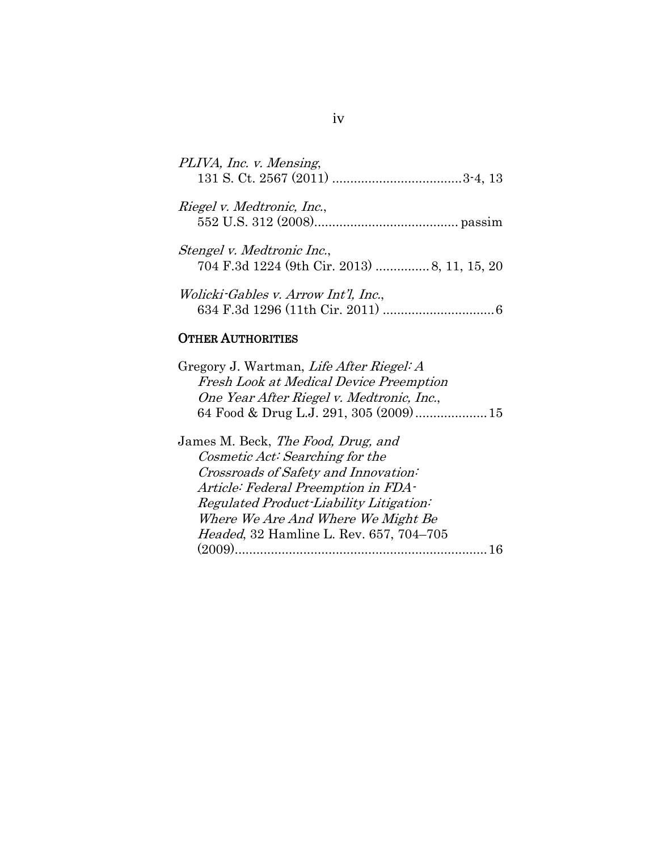| PLIVA, Inc. v. Mensing,                                                    |  |
|----------------------------------------------------------------------------|--|
| Riegel v. Medtronic, Inc.,                                                 |  |
| Stengel v. Medtronic Inc.,<br>704 F.3d 1224 (9th Cir. 2013)  8, 11, 15, 20 |  |
| Wolicki-Gables v. Arrow Int'l, Inc.,                                       |  |

# OTHER AUTHORITIES

| Gregory J. Wartman, Life After Riegel: A       |  |
|------------------------------------------------|--|
| <b>Fresh Look at Medical Device Preemption</b> |  |
| One Year After Riegel v. Medtronic, Inc.,      |  |
|                                                |  |
|                                                |  |

| James M. Beck, The Food, Drug, and              |  |
|-------------------------------------------------|--|
| Cosmetic Act: Searching for the                 |  |
| Crossroads of Safety and Innovation:            |  |
| Article: Federal Preemption in FDA-             |  |
| Regulated Product-Liability Litigation:         |  |
| Where We Are And Where We Might Be              |  |
| <i>Headed</i> , 32 Hamline L. Rev. 657, 704-705 |  |
| (2009)                                          |  |
|                                                 |  |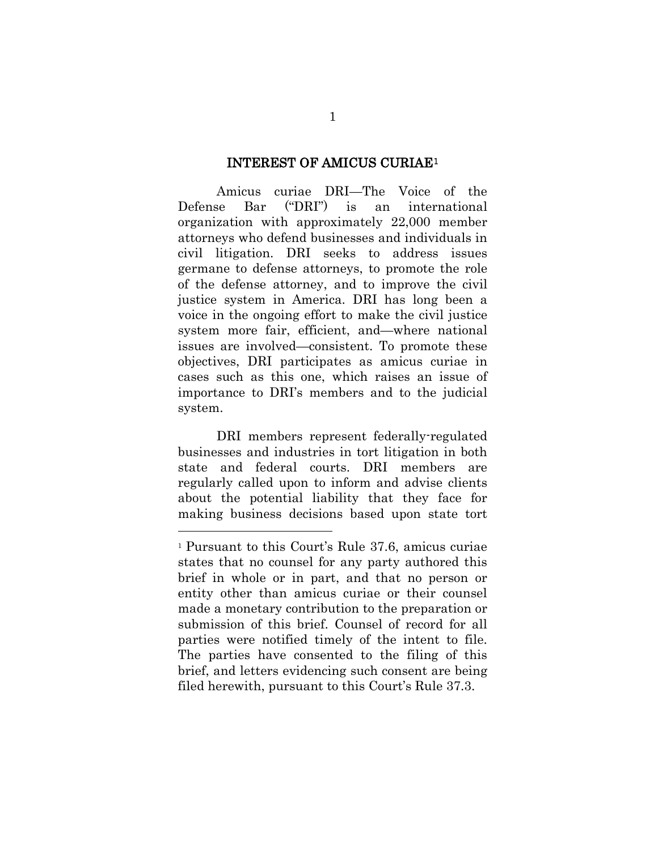#### INTEREST OF AMICUS CURIAE[1](#page-5-0)

Amicus curiae DRI—The Voice of the Defense Bar ("DRI") is an international organization with approximately 22,000 member attorneys who defend businesses and individuals in civil litigation. DRI seeks to address issues germane to defense attorneys, to promote the role of the defense attorney, and to improve the civil justice system in America. DRI has long been a voice in the ongoing effort to make the civil justice system more fair, efficient, and—where national issues are involved—consistent. To promote these objectives, DRI participates as amicus curiae in cases such as this one, which raises an issue of importance to DRI's members and to the judicial system.

DRI members represent federally-regulated businesses and industries in tort litigation in both state and federal courts. DRI members are regularly called upon to inform and advise clients about the potential liability that they face for making business decisions based upon state tort

-

<span id="page-5-0"></span><sup>1</sup> Pursuant to this Court's Rule 37.6, amicus curiae states that no counsel for any party authored this brief in whole or in part, and that no person or entity other than amicus curiae or their counsel made a monetary contribution to the preparation or submission of this brief. Counsel of record for all parties were notified timely of the intent to file. The parties have consented to the filing of this brief, and letters evidencing such consent are being filed herewith, pursuant to this Court's Rule 37.3.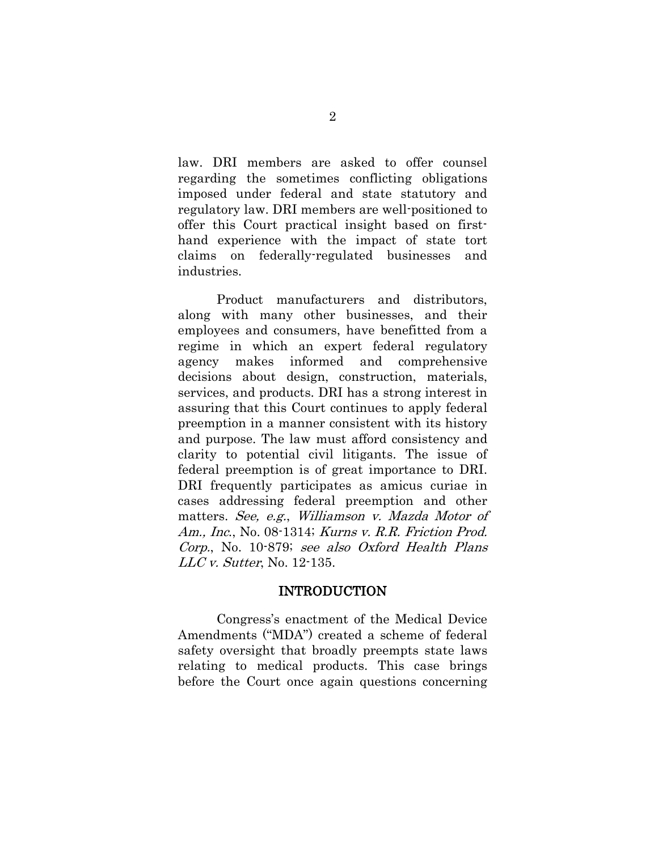law. DRI members are asked to offer counsel regarding the sometimes conflicting obligations imposed under federal and state statutory and regulatory law. DRI members are well-positioned to offer this Court practical insight based on firsthand experience with the impact of state tort claims on federally-regulated businesses and industries.

Product manufacturers and distributors, along with many other businesses, and their employees and consumers, have benefitted from a regime in which an expert federal regulatory agency makes informed and comprehensive decisions about design, construction, materials, services, and products. DRI has a strong interest in assuring that this Court continues to apply federal preemption in a manner consistent with its history and purpose. The law must afford consistency and clarity to potential civil litigants. The issue of federal preemption is of great importance to DRI. DRI frequently participates as amicus curiae in cases addressing federal preemption and other matters. See, e.g., Williamson v. Mazda Motor of Am., Inc., No. 08-1314; Kurns v. R.R. Friction Prod. Corp., No. 10-879; see also Oxford Health Plans LLC v. Sutter, No. 12-135.

#### INTRODUCTION

Congress's enactment of the Medical Device Amendments ("MDA") created a scheme of federal safety oversight that broadly preempts state laws relating to medical products. This case brings before the Court once again questions concerning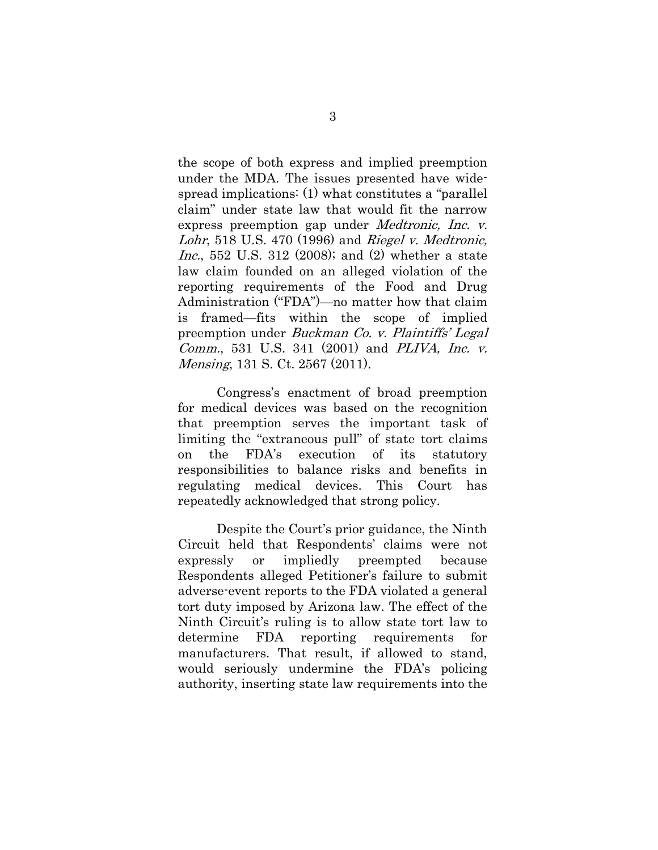the scope of both express and implied preemption under the MDA. The issues presented have widespread implications: (1) what constitutes a "parallel claim" under state law that would fit the narrow express preemption gap under Medtronic, Inc. v. Lohr, 518 U.S. 470 (1996) and Riegel v. Medtronic, Inc., 552 U.S. 312 (2008); and (2) whether a state law claim founded on an alleged violation of the reporting requirements of the Food and Drug Administration ("FDA")—no matter how that claim is framed—fits within the scope of implied preemption under Buckman Co. v. Plaintiffs' Legal Comm., 531 U.S. 341 (2001) and PLIVA, Inc. v. Mensing, 131 S. Ct. 2567 (2011).

Congress's enactment of broad preemption for medical devices was based on the recognition that preemption serves the important task of limiting the "extraneous pull" of state tort claims on the FDA's execution of its statutory responsibilities to balance risks and benefits in regulating medical devices. This Court has repeatedly acknowledged that strong policy.

Despite the Court's prior guidance, the Ninth Circuit held that Respondents' claims were not expressly or impliedly preempted because Respondents alleged Petitioner's failure to submit adverse-event reports to the FDA violated a general tort duty imposed by Arizona law. The effect of the Ninth Circuit's ruling is to allow state tort law to determine FDA reporting requirements for manufacturers. That result, if allowed to stand, would seriously undermine the FDA's policing authority, inserting state law requirements into the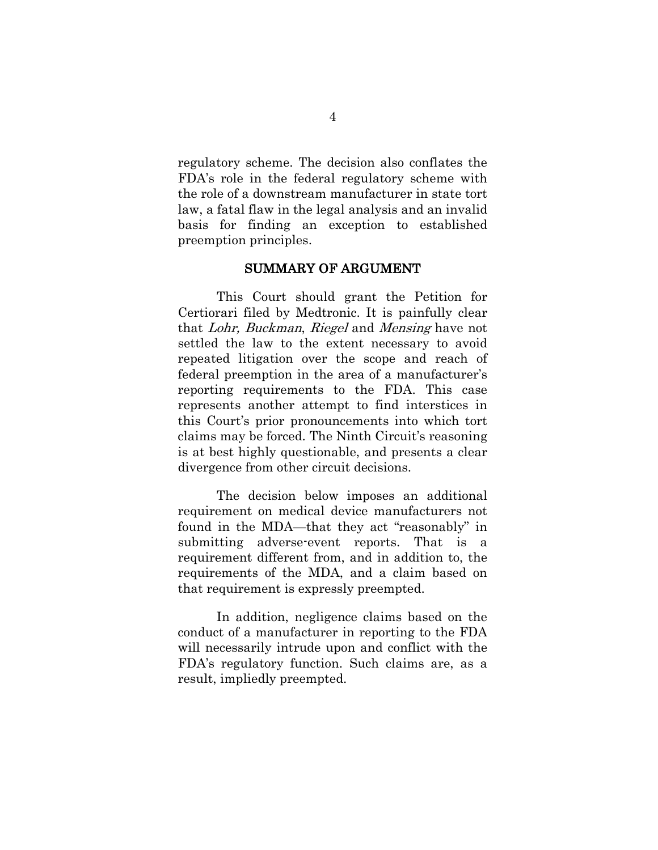regulatory scheme. The decision also conflates the FDA's role in the federal regulatory scheme with the role of a downstream manufacturer in state tort law, a fatal flaw in the legal analysis and an invalid basis for finding an exception to established preemption principles.

#### SUMMARY OF ARGUMENT

This Court should grant the Petition for Certiorari filed by Medtronic. It is painfully clear that Lohr, Buckman, Riegel and Mensing have not settled the law to the extent necessary to avoid repeated litigation over the scope and reach of federal preemption in the area of a manufacturer's reporting requirements to the FDA. This case represents another attempt to find interstices in this Court's prior pronouncements into which tort claims may be forced. The Ninth Circuit's reasoning is at best highly questionable, and presents a clear divergence from other circuit decisions.

The decision below imposes an additional requirement on medical device manufacturers not found in the MDA—that they act "reasonably" in submitting adverse-event reports. That is a requirement different from, and in addition to, the requirements of the MDA, and a claim based on that requirement is expressly preempted.

In addition, negligence claims based on the conduct of a manufacturer in reporting to the FDA will necessarily intrude upon and conflict with the FDA's regulatory function. Such claims are, as a result, impliedly preempted.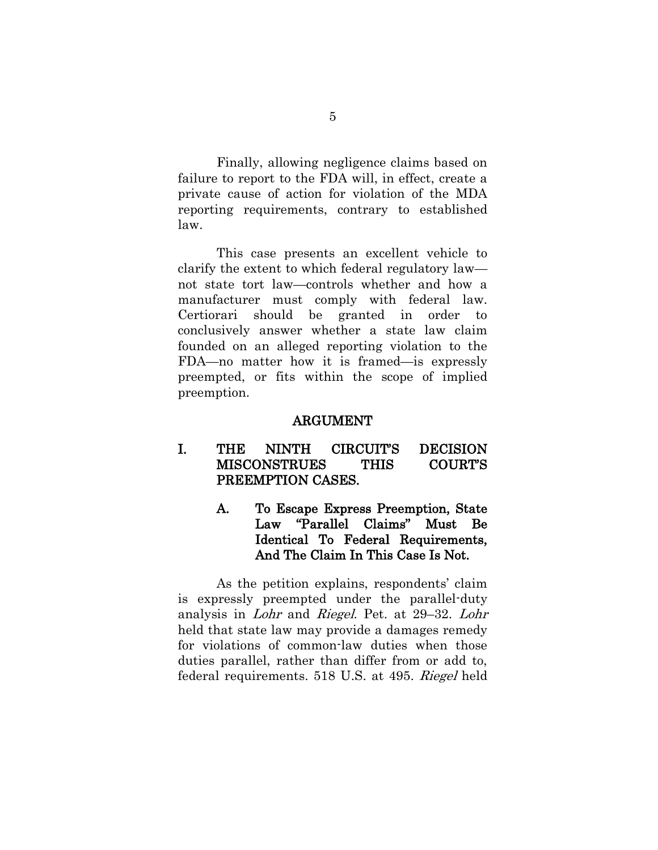Finally, allowing negligence claims based on failure to report to the FDA will, in effect, create a private cause of action for violation of the MDA reporting requirements, contrary to established law.

This case presents an excellent vehicle to clarify the extent to which federal regulatory law not state tort law—controls whether and how a manufacturer must comply with federal law. Certiorari should be granted in order to conclusively answer whether a state law claim founded on an alleged reporting violation to the FDA—no matter how it is framed—is expressly preempted, or fits within the scope of implied preemption.

#### ARGUMENT

#### I. THE NINTH CIRCUIT'S DECISION MISCONSTRUES THIS COURT'S PREEMPTION CASES.

A. To Escape Express Preemption, State Law "Parallel Claims" Must Be Identical To Federal Requirements, And The Claim In This Case Is Not.

As the petition explains, respondents' claim is expressly preempted under the parallel-duty analysis in Lohr and Riegel. Pet. at 29–32. Lohr held that state law may provide a damages remedy for violations of common-law duties when those duties parallel, rather than differ from or add to, federal requirements. 518 U.S. at 495. Riegel held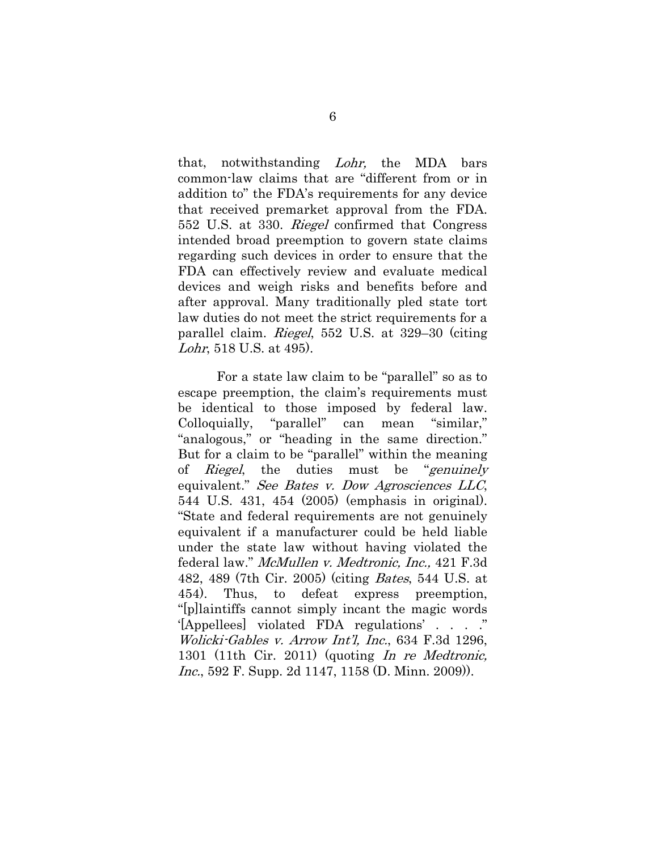that, notwithstanding Lohr, the MDA bars common-law claims that are "different from or in addition to" the FDA's requirements for any device that received premarket approval from the FDA. 552 U.S. at 330. Riegel confirmed that Congress intended broad preemption to govern state claims regarding such devices in order to ensure that the FDA can effectively review and evaluate medical devices and weigh risks and benefits before and after approval. Many traditionally pled state tort law duties do not meet the strict requirements for a parallel claim. Riegel, 552 U.S. at 329–30 (citing Lohr, 518 U.S. at 495).

For a state law claim to be "parallel" so as to escape preemption, the claim's requirements must be identical to those imposed by federal law. Colloquially, "parallel" can mean "similar," "analogous," or "heading in the same direction." But for a claim to be "parallel" within the meaning of Riegel, the duties must be "genuinely equivalent." See Bates v. Dow Agrosciences LLC, 544 U.S. 431, 454 (2005) (emphasis in original). "State and federal requirements are not genuinely equivalent if a manufacturer could be held liable under the state law without having violated the federal law." McMullen v. Medtronic, Inc., 421 F.3d 482, 489 (7th Cir. 2005) (citing Bates, 544 U.S. at 454). Thus, to defeat express preemption, "[p]laintiffs cannot simply incant the magic words '[Appellees] violated FDA regulations' . . . ." Wolicki-Gables v. Arrow Int'l, Inc., 634 F.3d 1296, 1301 (11th Cir. 2011) (quoting In re Medtronic, Inc., 592 F. Supp. 2d 1147, 1158 (D. Minn. 2009).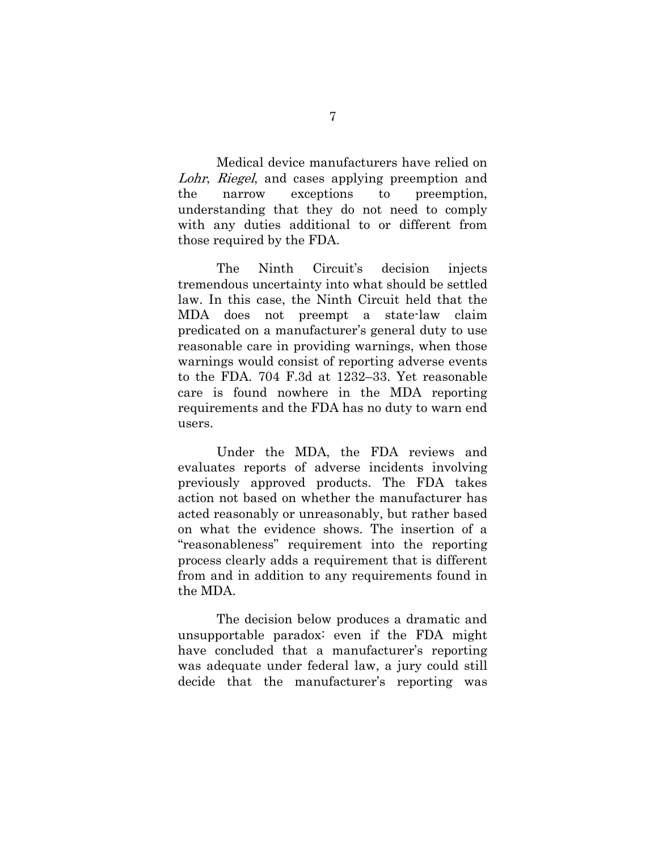Medical device manufacturers have relied on Lohr, Riegel, and cases applying preemption and the narrow exceptions to preemption, understanding that they do not need to comply with any duties additional to or different from those required by the FDA.

The Ninth Circuit's decision injects tremendous uncertainty into what should be settled law. In this case, the Ninth Circuit held that the MDA does not preempt a state-law claim predicated on a manufacturer's general duty to use reasonable care in providing warnings, when those warnings would consist of reporting adverse events to the FDA. 704 F.3d at 1232–33. Yet reasonable care is found nowhere in the MDA reporting requirements and the FDA has no duty to warn end users.

Under the MDA, the FDA reviews and evaluates reports of adverse incidents involving previously approved products. The FDA takes action not based on whether the manufacturer has acted reasonably or unreasonably, but rather based on what the evidence shows. The insertion of a "reasonableness" requirement into the reporting process clearly adds a requirement that is different from and in addition to any requirements found in the MDA.

The decision below produces a dramatic and unsupportable paradox: even if the FDA might have concluded that a manufacturer's reporting was adequate under federal law, a jury could still decide that the manufacturer's reporting was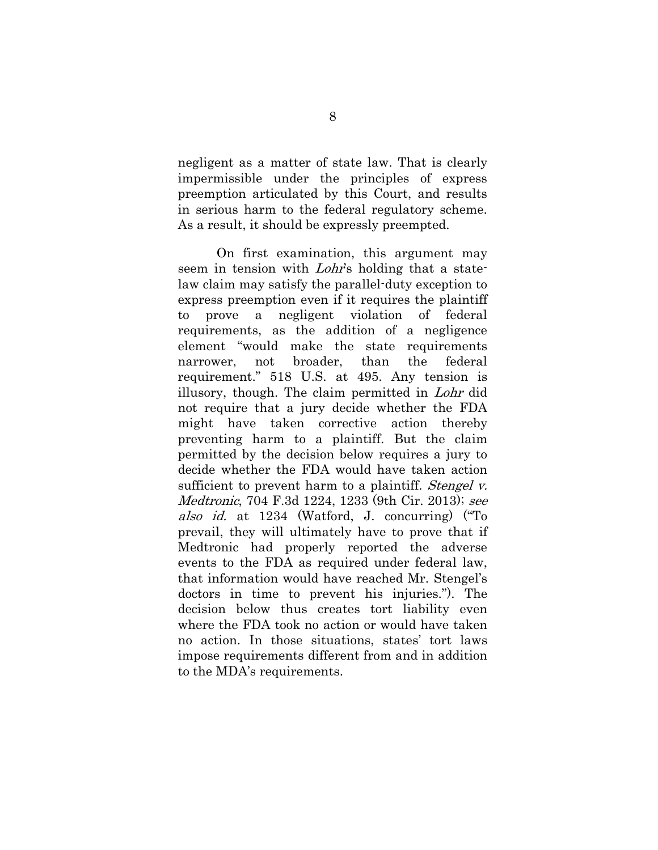negligent as a matter of state law. That is clearly impermissible under the principles of express preemption articulated by this Court, and results in serious harm to the federal regulatory scheme. As a result, it should be expressly preempted.

On first examination, this argument may seem in tension with *Lohr's* holding that a statelaw claim may satisfy the parallel-duty exception to express preemption even if it requires the plaintiff to prove a negligent violation of federal requirements, as the addition of a negligence element "would make the state requirements narrower, not broader, than the federal requirement." 518 U.S. at 495. Any tension is illusory, though. The claim permitted in Lohr did not require that a jury decide whether the FDA might have taken corrective action thereby preventing harm to a plaintiff. But the claim permitted by the decision below requires a jury to decide whether the FDA would have taken action sufficient to prevent harm to a plaintiff. *Stengel v.* Medtronic, 704 F.3d 1224, 1233 (9th Cir. 2013); see also id. at 1234 (Watford, J. concurring) ("To prevail, they will ultimately have to prove that if Medtronic had properly reported the adverse events to the FDA as required under federal law, that information would have reached Mr. Stengel's doctors in time to prevent his injuries."). The decision below thus creates tort liability even where the FDA took no action or would have taken no action. In those situations, states' tort laws impose requirements different from and in addition to the MDA's requirements.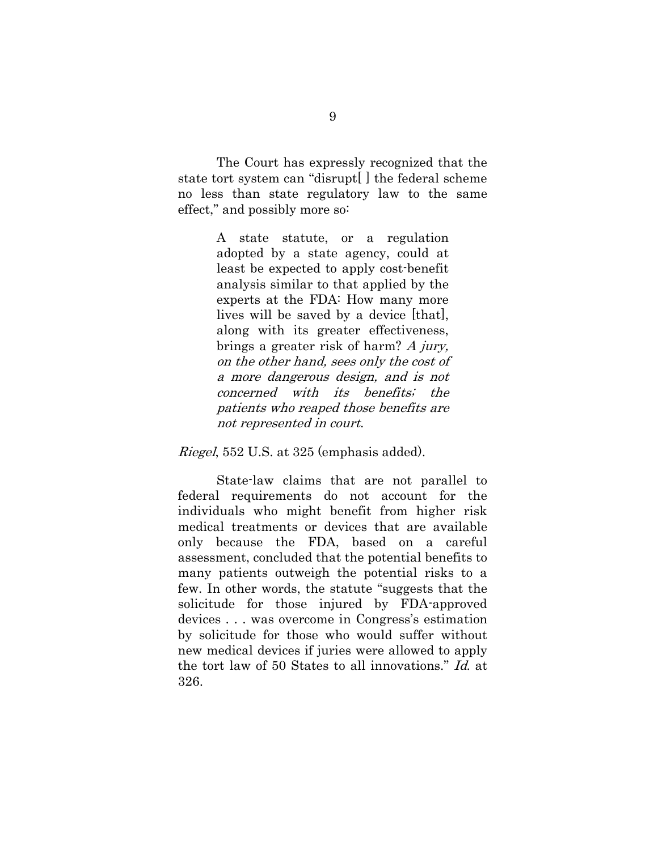The Court has expressly recognized that the state tort system can "disrupt[ ] the federal scheme no less than state regulatory law to the same effect," and possibly more so:

> A state statute, or a regulation adopted by a state agency, could at least be expected to apply cost-benefit analysis similar to that applied by the experts at the FDA: How many more lives will be saved by a device [that], along with its greater effectiveness, brings a greater risk of harm? A jury, on the other hand, sees only the cost of a more dangerous design, and is not concerned with its benefits; the patients who reaped those benefits are not represented in court.

Riegel, 552 U.S. at 325 (emphasis added).

State-law claims that are not parallel to federal requirements do not account for the individuals who might benefit from higher risk medical treatments or devices that are available only because the FDA, based on a careful assessment, concluded that the potential benefits to many patients outweigh the potential risks to a few. In other words, the statute "suggests that the solicitude for those injured by FDA-approved devices . . . was overcome in Congress's estimation by solicitude for those who would suffer without new medical devices if juries were allowed to apply the tort law of 50 States to all innovations." Id. at 326.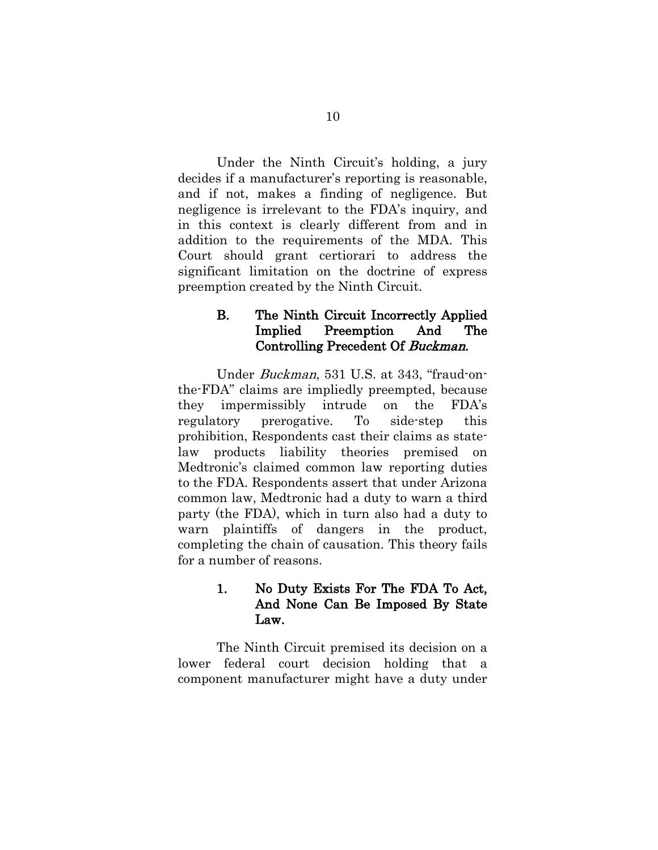Under the Ninth Circuit's holding, a jury decides if a manufacturer's reporting is reasonable, and if not, makes a finding of negligence. But negligence is irrelevant to the FDA's inquiry, and in this context is clearly different from and in addition to the requirements of the MDA. This Court should grant certiorari to address the significant limitation on the doctrine of express preemption created by the Ninth Circuit.

## B. The Ninth Circuit Incorrectly Applied Implied Preemption And The Controlling Precedent Of Buckman.

Under Buckman, 531 U.S. at 343, "fraud-onthe-FDA" claims are impliedly preempted, because they impermissibly intrude on the FDA's regulatory prerogative. To side-step this prohibition, Respondents cast their claims as statelaw products liability theories premised on Medtronic's claimed common law reporting duties to the FDA. Respondents assert that under Arizona common law, Medtronic had a duty to warn a third party (the FDA), which in turn also had a duty to warn plaintiffs of dangers in the product, completing the chain of causation. This theory fails for a number of reasons.

## 1. No Duty Exists For The FDA To Act, And None Can Be Imposed By State Law.

The Ninth Circuit premised its decision on a lower federal court decision holding that a component manufacturer might have a duty under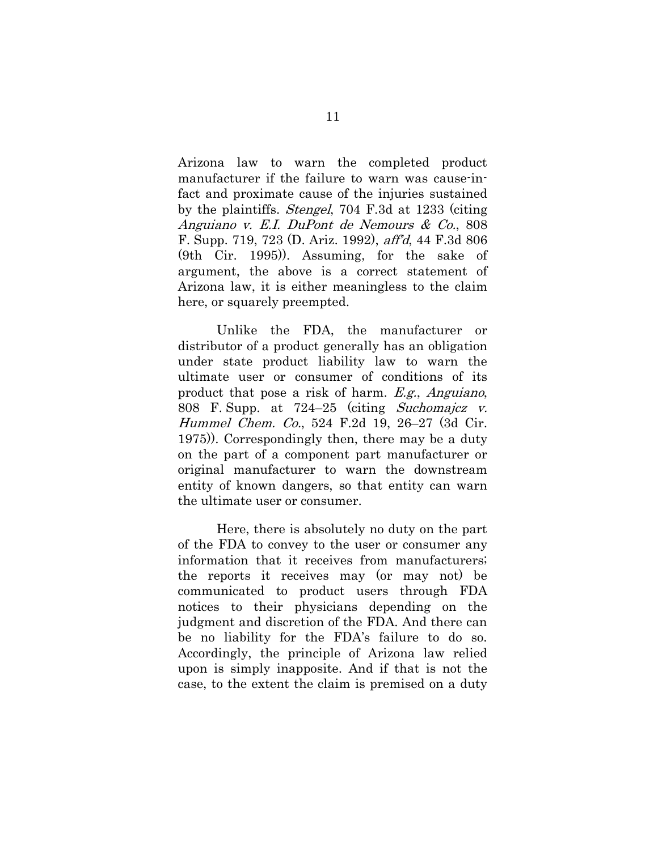Arizona law to warn the completed product manufacturer if the failure to warn was cause-infact and proximate cause of the injuries sustained by the plaintiffs. Stengel, 704 F.3d at 1233 (citing Anguiano v. E.I. DuPont de Nemours & Co., 808 F. Supp. 719, 723 (D. Ariz. 1992), aff'd, 44 F.3d 806 (9th Cir. 1995)). Assuming, for the sake of argument, the above is a correct statement of Arizona law, it is either meaningless to the claim here, or squarely preempted.

Unlike the FDA, the manufacturer or distributor of a product generally has an obligation under state product liability law to warn the ultimate user or consumer of conditions of its product that pose a risk of harm. E.g., Anguiano, 808 F. Supp. at 724–25 (citing Suchomajcz v. Hummel Chem. Co., 524 F.2d 19, 26–27 (3d Cir. 1975)). Correspondingly then, there may be a duty on the part of a component part manufacturer or original manufacturer to warn the downstream entity of known dangers, so that entity can warn the ultimate user or consumer.

Here, there is absolutely no duty on the part of the FDA to convey to the user or consumer any information that it receives from manufacturers; the reports it receives may (or may not) be communicated to product users through FDA notices to their physicians depending on the judgment and discretion of the FDA. And there can be no liability for the FDA's failure to do so. Accordingly, the principle of Arizona law relied upon is simply inapposite. And if that is not the case, to the extent the claim is premised on a duty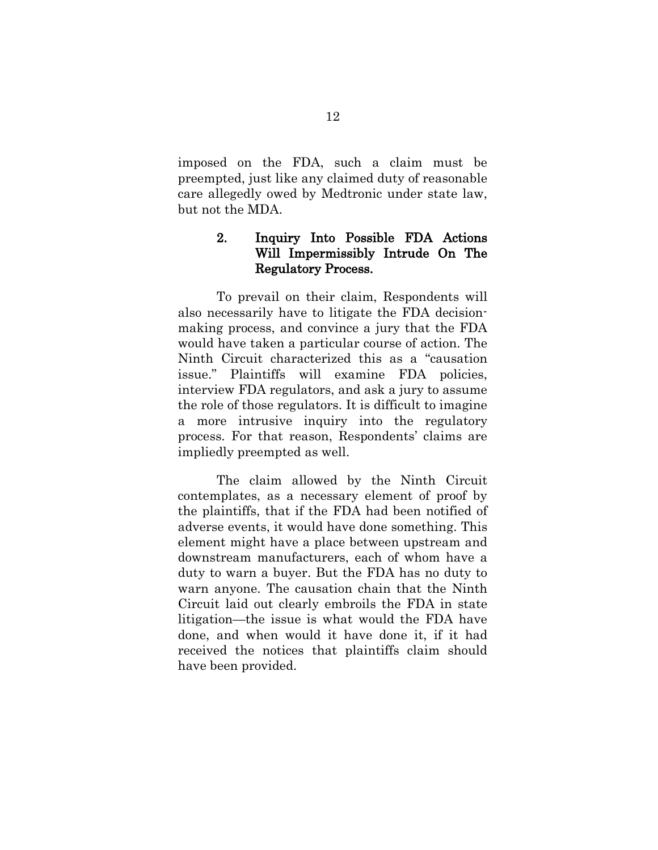imposed on the FDA, such a claim must be preempted, just like any claimed duty of reasonable care allegedly owed by Medtronic under state law, but not the MDA.

### 2. Inquiry Into Possible FDA Actions Will Impermissibly Intrude On The Regulatory Process.

To prevail on their claim, Respondents will also necessarily have to litigate the FDA decisionmaking process, and convince a jury that the FDA would have taken a particular course of action. The Ninth Circuit characterized this as a "causation issue." Plaintiffs will examine FDA policies, interview FDA regulators, and ask a jury to assume the role of those regulators. It is difficult to imagine a more intrusive inquiry into the regulatory process. For that reason, Respondents' claims are impliedly preempted as well.

The claim allowed by the Ninth Circuit contemplates, as a necessary element of proof by the plaintiffs, that if the FDA had been notified of adverse events, it would have done something. This element might have a place between upstream and downstream manufacturers, each of whom have a duty to warn a buyer. But the FDA has no duty to warn anyone. The causation chain that the Ninth Circuit laid out clearly embroils the FDA in state litigation—the issue is what would the FDA have done, and when would it have done it, if it had received the notices that plaintiffs claim should have been provided.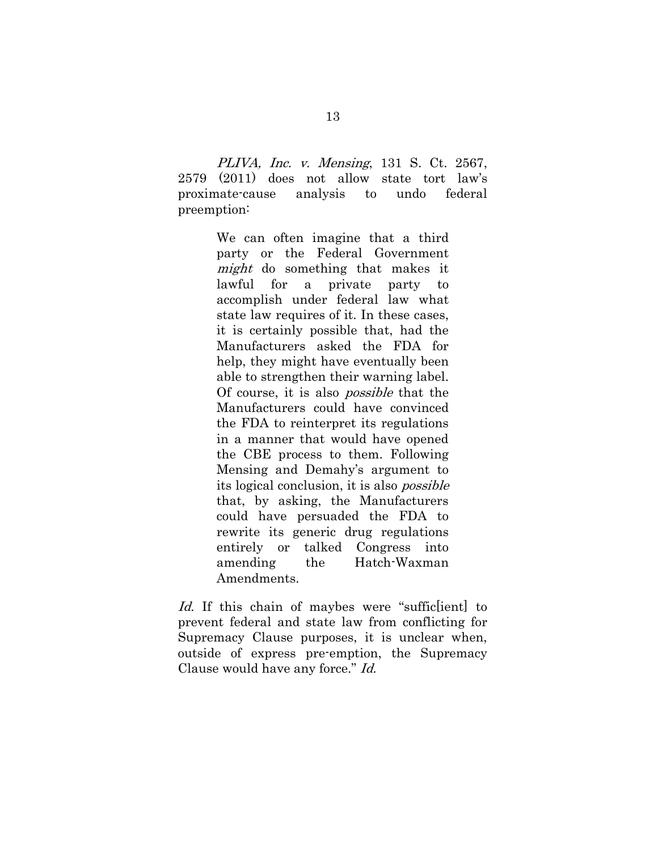PLIVA, Inc. v. Mensing, 131 S. Ct. 2567, 2579 (2011) does not allow state tort law's proximate-cause analysis to undo federal preemption:

> We can often imagine that a third party or the Federal Government might do something that makes it lawful for a private party to accomplish under federal law what state law requires of it. In these cases, it is certainly possible that, had the Manufacturers asked the FDA for help, they might have eventually been able to strengthen their warning label. Of course, it is also possible that the Manufacturers could have convinced the FDA to reinterpret its regulations in a manner that would have opened the CBE process to them. Following Mensing and Demahy's argument to its logical conclusion, it is also possible that, by asking, the Manufacturers could have persuaded the FDA to rewrite its generic drug regulations entirely or talked Congress into amending the Hatch-Waxman Amendments.

Id. If this chain of maybes were "suffictient to prevent federal and state law from conflicting for Supremacy Clause purposes, it is unclear when, outside of express pre-emption, the Supremacy Clause would have any force." Id.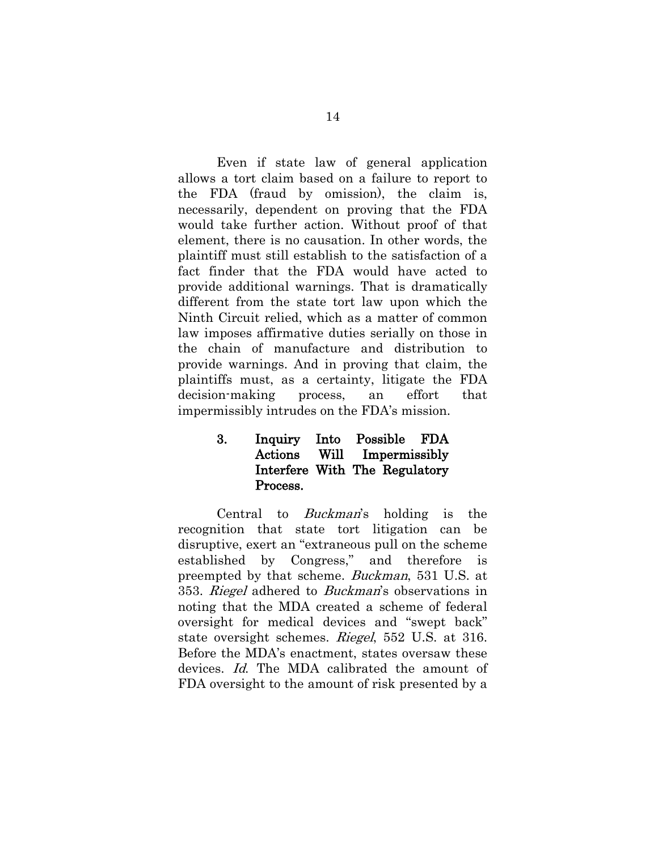Even if state law of general application allows a tort claim based on a failure to report to the FDA (fraud by omission), the claim is, necessarily, dependent on proving that the FDA would take further action. Without proof of that element, there is no causation. In other words, the plaintiff must still establish to the satisfaction of a fact finder that the FDA would have acted to provide additional warnings. That is dramatically different from the state tort law upon which the Ninth Circuit relied, which as a matter of common law imposes affirmative duties serially on those in the chain of manufacture and distribution to provide warnings. And in proving that claim, the plaintiffs must, as a certainty, litigate the FDA decision-making process, an effort that impermissibly intrudes on the FDA's mission.

### 3. Inquiry Into Possible FDA Actions Will Impermissibly Interfere With The Regulatory Process.

Central to Buckman's holding is the recognition that state tort litigation can be disruptive, exert an "extraneous pull on the scheme established by Congress," and therefore is preempted by that scheme. Buckman, 531 U.S. at 353. Riegel adhered to Buckman's observations in noting that the MDA created a scheme of federal oversight for medical devices and "swept back" state oversight schemes. Riegel, 552 U.S. at 316. Before the MDA's enactment, states oversaw these devices. Id. The MDA calibrated the amount of FDA oversight to the amount of risk presented by a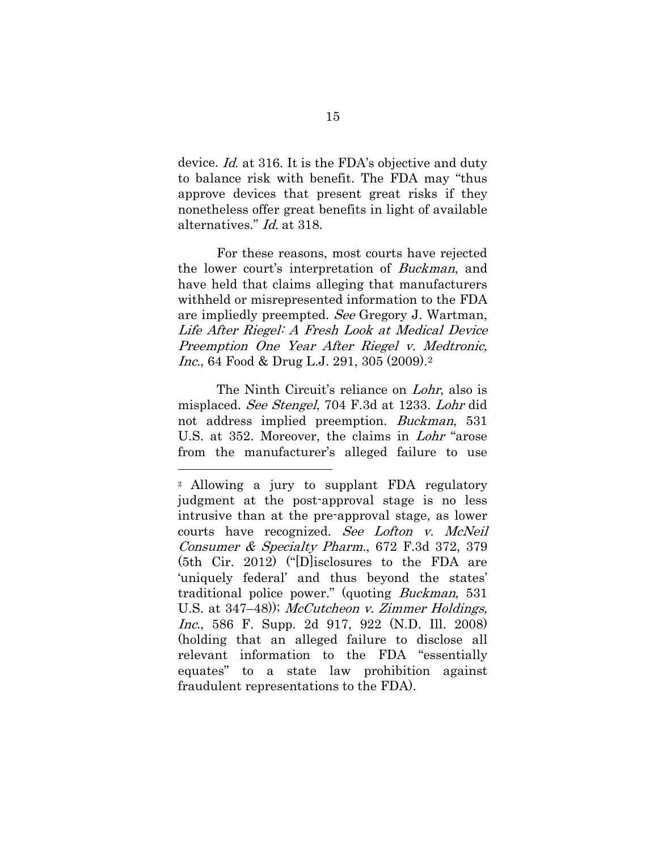device. Id. at 316. It is the FDA's objective and duty to balance risk with benefit. The FDA may "thus approve devices that present great risks if they nonetheless offer great benefits in light of available alternatives." Id. at 318.

For these reasons, most courts have rejected the lower court's interpretation of Buckman, and have held that claims alleging that manufacturers withheld or misrepresented information to the FDA are impliedly preempted. See Gregory J. Wartman, Life After Riegel: A Fresh Look at Medical Device Preemption One Year After Riegel v. Medtronic, Inc., 64 Food & Drug L.J. 291, 305 (2009).[2](#page-19-0)

The Ninth Circuit's reliance on *Lohr*, also is misplaced. See Stengel, 704 F.3d at 1233. Lohr did not address implied preemption. Buckman, 531 U.S. at 352. Moreover, the claims in Lohr "arose from the manufacturer's alleged failure to use

-

<span id="page-19-0"></span><sup>2</sup> Allowing a jury to supplant FDA regulatory judgment at the post-approval stage is no less intrusive than at the pre-approval stage, as lower courts have recognized. See Lofton v. McNeil Consumer & Specialty Pharm., 672 F.3d 372, 379 (5th Cir. 2012) ("[D]isclosures to the FDA are 'uniquely federal' and thus beyond the states' traditional police power." (quoting Buckman, 531 U.S. at 347–48)); *McCutcheon v. Zimmer Holdings*, Inc., 586 F. Supp. 2d 917, 922 (N.D. Ill. 2008) (holding that an alleged failure to disclose all relevant information to the FDA "essentially equates" to a state law prohibition against fraudulent representations to the FDA).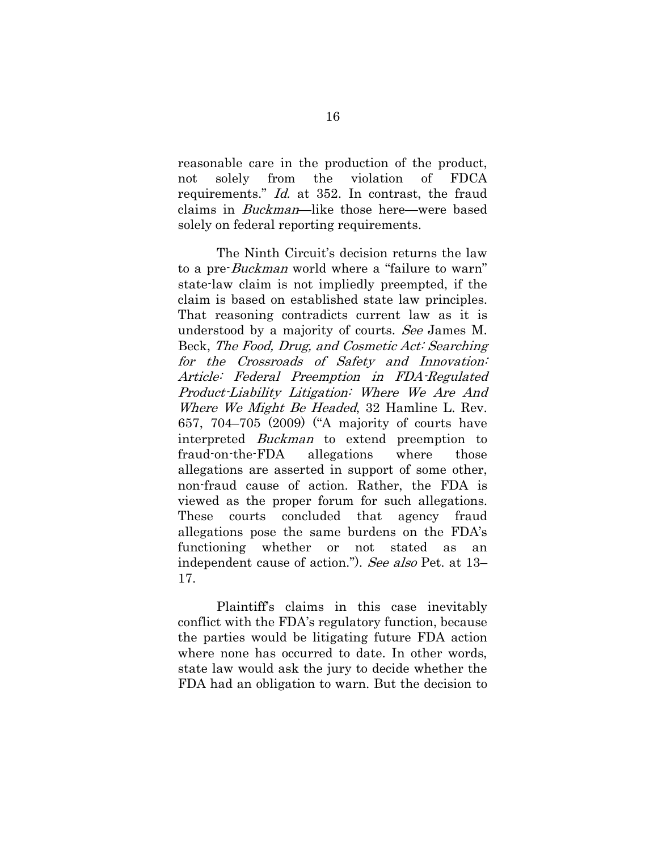reasonable care in the production of the product, not solely from the violation of FDCA requirements." Id. at 352. In contrast, the fraud claims in Buckman—like those here—were based solely on federal reporting requirements.

The Ninth Circuit's decision returns the law to a pre-Buckman world where a "failure to warn" state-law claim is not impliedly preempted, if the claim is based on established state law principles. That reasoning contradicts current law as it is understood by a majority of courts. See James M. Beck, The Food, Drug, and Cosmetic Act: Searching for the Crossroads of Safety and Innovation: Article: Federal Preemption in FDA-Regulated Product-Liability Litigation: Where We Are And Where We Might Be Headed, 32 Hamline L. Rev. 657, 704–705 (2009) ("A majority of courts have interpreted Buckman to extend preemption to fraud-on-the-FDA allegations where those allegations are asserted in support of some other, non-fraud cause of action. Rather, the FDA is viewed as the proper forum for such allegations. These courts concluded that agency fraud allegations pose the same burdens on the FDA's functioning whether or not stated as an independent cause of action."). See also Pet. at 13– 17.

Plaintiff's claims in this case inevitably conflict with the FDA's regulatory function, because the parties would be litigating future FDA action where none has occurred to date. In other words, state law would ask the jury to decide whether the FDA had an obligation to warn. But the decision to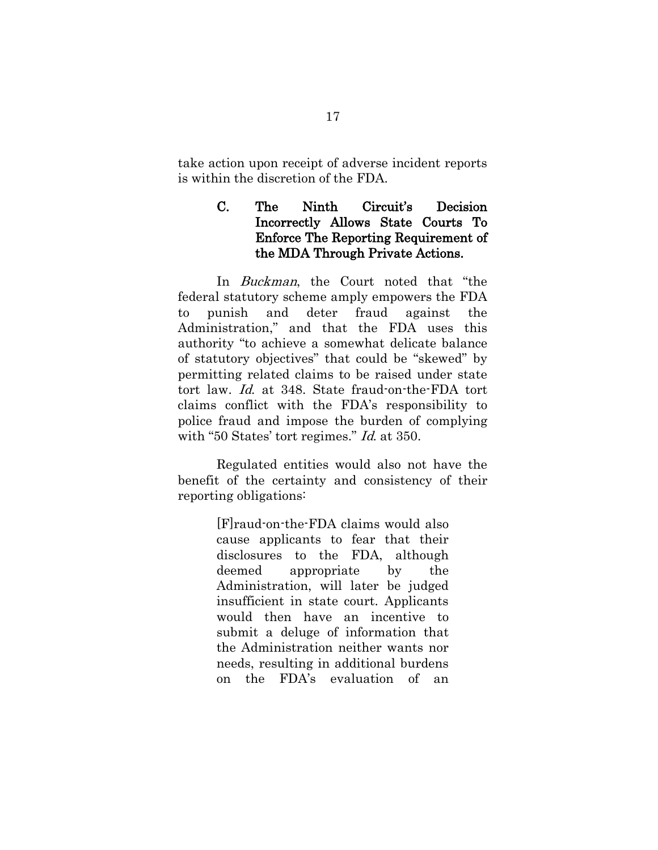take action upon receipt of adverse incident reports is within the discretion of the FDA.

## C. The Ninth Circuit's Decision Incorrectly Allows State Courts To Enforce The Reporting Requirement of the MDA Through Private Actions.

In *Buckman*, the Court noted that "the federal statutory scheme amply empowers the FDA to punish and deter fraud against the Administration," and that the FDA uses this authority "to achieve a somewhat delicate balance of statutory objectives" that could be "skewed" by permitting related claims to be raised under state tort law. Id. at 348. State fraud-on-the-FDA tort claims conflict with the FDA's responsibility to police fraud and impose the burden of complying with "50 States' tort regimes." *Id.* at 350.

Regulated entities would also not have the benefit of the certainty and consistency of their reporting obligations:

> [F]raud-on-the-FDA claims would also cause applicants to fear that their disclosures to the FDA, although deemed appropriate by the Administration, will later be judged insufficient in state court. Applicants would then have an incentive to submit a deluge of information that the Administration neither wants nor needs, resulting in additional burdens on the FDA's evaluation of an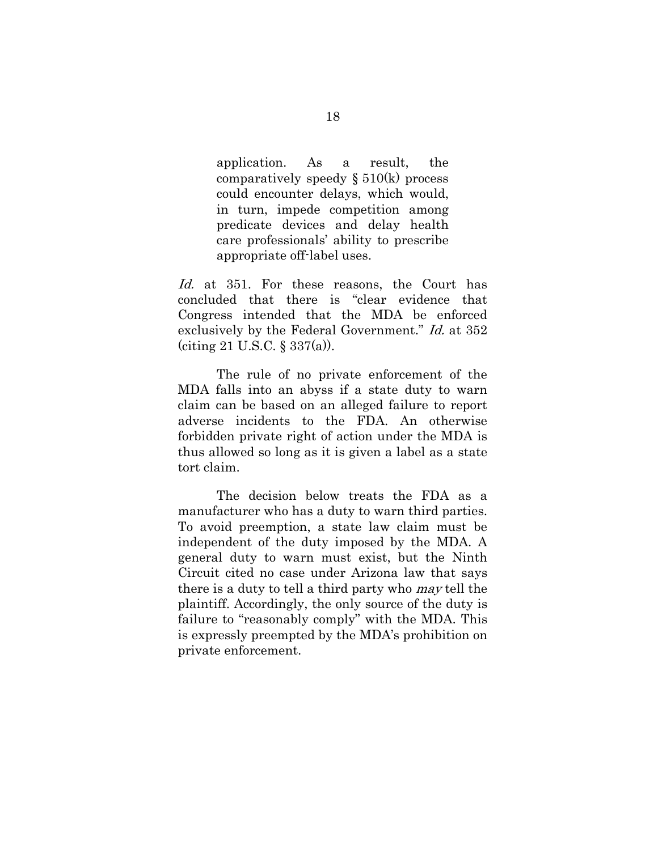application. As a result, the comparatively speedy  $\S 510(k)$  process could encounter delays, which would, in turn, impede competition among predicate devices and delay health care professionals' ability to prescribe appropriate off-label uses.

Id. at 351. For these reasons, the Court has concluded that there is "clear evidence that Congress intended that the MDA be enforced exclusively by the Federal Government." Id. at 352 (citing 21 U.S.C. § 337(a)).

The rule of no private enforcement of the MDA falls into an abyss if a state duty to warn claim can be based on an alleged failure to report adverse incidents to the FDA. An otherwise forbidden private right of action under the MDA is thus allowed so long as it is given a label as a state tort claim.

The decision below treats the FDA as a manufacturer who has a duty to warn third parties. To avoid preemption, a state law claim must be independent of the duty imposed by the MDA. A general duty to warn must exist, but the Ninth Circuit cited no case under Arizona law that says there is a duty to tell a third party who may tell the plaintiff. Accordingly, the only source of the duty is failure to "reasonably comply" with the MDA. This is expressly preempted by the MDA's prohibition on private enforcement.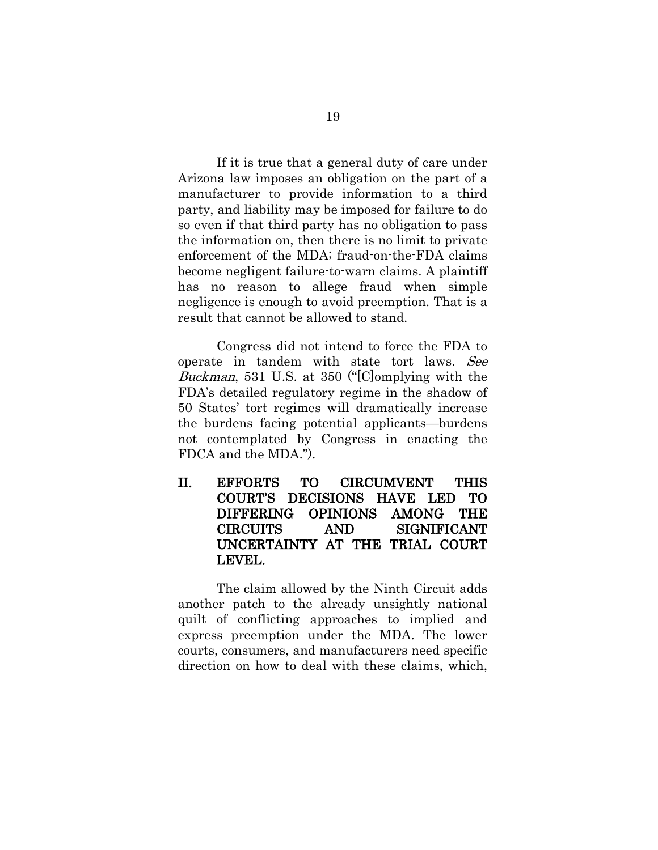If it is true that a general duty of care under Arizona law imposes an obligation on the part of a manufacturer to provide information to a third party, and liability may be imposed for failure to do so even if that third party has no obligation to pass the information on, then there is no limit to private enforcement of the MDA; fraud-on-the-FDA claims become negligent failure-to-warn claims. A plaintiff has no reason to allege fraud when simple negligence is enough to avoid preemption. That is a result that cannot be allowed to stand.

Congress did not intend to force the FDA to operate in tandem with state tort laws. See Buckman, 531 U.S. at 350 ("[C]omplying with the FDA's detailed regulatory regime in the shadow of 50 States' tort regimes will dramatically increase the burdens facing potential applicants—burdens not contemplated by Congress in enacting the FDCA and the MDA.").

II. EFFORTS TO CIRCUMVENT THIS COURT'S DECISIONS HAVE LED TO DIFFERING OPINIONS AMONG THE CIRCUITS AND SIGNIFICANT UNCERTAINTY AT THE TRIAL COURT LEVEL.

The claim allowed by the Ninth Circuit adds another patch to the already unsightly national quilt of conflicting approaches to implied and express preemption under the MDA. The lower courts, consumers, and manufacturers need specific direction on how to deal with these claims, which,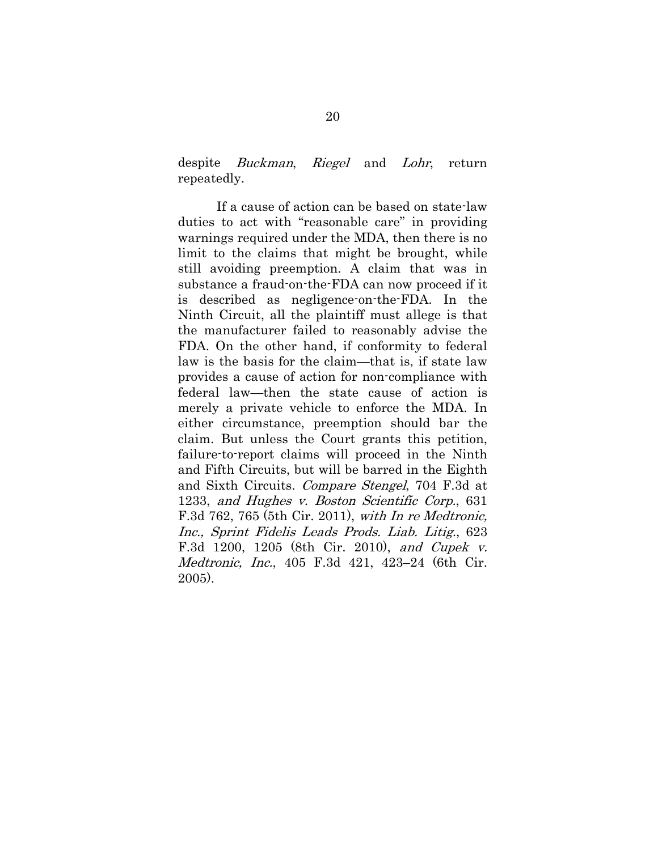despite Buckman, Riegel and Lohr, return repeatedly.

If a cause of action can be based on state-law duties to act with "reasonable care" in providing warnings required under the MDA, then there is no limit to the claims that might be brought, while still avoiding preemption. A claim that was in substance a fraud-on-the-FDA can now proceed if it is described as negligence-on-the-FDA. In the Ninth Circuit, all the plaintiff must allege is that the manufacturer failed to reasonably advise the FDA. On the other hand, if conformity to federal law is the basis for the claim—that is, if state law provides a cause of action for non-compliance with federal law—then the state cause of action is merely a private vehicle to enforce the MDA. In either circumstance, preemption should bar the claim. But unless the Court grants this petition, failure-to-report claims will proceed in the Ninth and Fifth Circuits, but will be barred in the Eighth and Sixth Circuits. Compare Stengel, 704 F.3d at 1233, and Hughes v. Boston Scientific Corp., 631 F.3d 762, 765 (5th Cir. 2011), with In re Medtronic, Inc., Sprint Fidelis Leads Prods. Liab. Litig., 623 F.3d 1200, 1205 (8th Cir. 2010), and Cupek v. Medtronic, Inc., 405 F.3d 421, 423–24 (6th Cir. 2005).